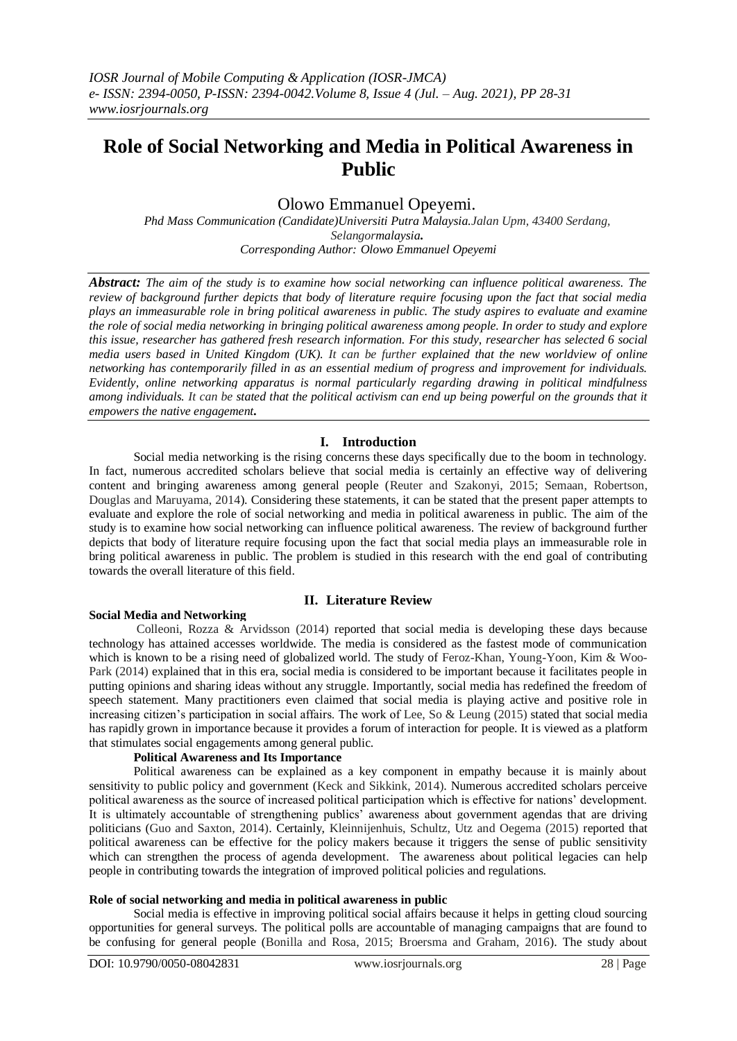# **Role of Social Networking and Media in Political Awareness in Public**

# Olowo Emmanuel Opeyemi.

*Phd Mass Communication (Candidate)Universiti Putra Malaysia.Jalan Upm, 43400 Serdang, Selangormalaysia***.** *Corresponding Author: Olowo Emmanuel Opeyemi*

*Abstract: The aim of the study is to examine how social networking can influence political awareness. The review of background further depicts that body of literature require focusing upon the fact that social media plays an immeasurable role in bring political awareness in public. The study aspires to evaluate and examine the role of social media networking in bringing political awareness among people. In order to study and explore this issue, researcher has gathered fresh research information. For this study, researcher has selected 6 social media users based in United Kingdom (UK). It can be further explained that the new worldview of online networking has contemporarily filled in as an essential medium of progress and improvement for individuals. Evidently, online networking apparatus is normal particularly regarding drawing in political mindfulness*  among individuals. It can be stated that the political activism can end up being powerful on the grounds that it *empowers the native engagement.* 

## **I. Introduction**

Social media networking is the rising concerns these days specifically due to the boom in technology. In fact, numerous accredited scholars believe that social media is certainly an effective way of delivering content and bringing awareness among general people (Reuter and Szakonyi, 2015; Semaan, Robertson, Douglas and Maruyama, 2014). Considering these statements, it can be stated that the present paper attempts to evaluate and explore the role of social networking and media in political awareness in public. The aim of the study is to examine how social networking can influence political awareness. The review of background further depicts that body of literature require focusing upon the fact that social media plays an immeasurable role in bring political awareness in public. The problem is studied in this research with the end goal of contributing towards the overall literature of this field.

#### **II. Literature Review**

### **Social Media and Networking**

Colleoni, Rozza & Arvidsson (2014) reported that social media is developing these days because technology has attained accesses worldwide. The media is considered as the fastest mode of communication which is known to be a rising need of globalized world. The study of Feroz-Khan, Young-Yoon, Kim & Woo-Park (2014) explained that in this era, social media is considered to be important because it facilitates people in putting opinions and sharing ideas without any struggle. Importantly, social media has redefined the freedom of speech statement. Many practitioners even claimed that social media is playing active and positive role in increasing citizen's participation in social affairs. The work of Lee, So & Leung (2015) stated that social media has rapidly grown in importance because it provides a forum of interaction for people. It is viewed as a platform that stimulates social engagements among general public.

#### **Political Awareness and Its Importance**

Political awareness can be explained as a key component in empathy because it is mainly about sensitivity to public policy and government (Keck and Sikkink, 2014). Numerous accredited scholars perceive political awareness as the source of increased political participation which is effective for nations' development. It is ultimately accountable of strengthening publics' awareness about government agendas that are driving politicians (Guo and Saxton, 2014). Certainly, Kleinnijenhuis, Schultz, Utz and Oegema (2015) reported that political awareness can be effective for the policy makers because it triggers the sense of public sensitivity which can strengthen the process of agenda development. The awareness about political legacies can help people in contributing towards the integration of improved political policies and regulations.

#### **Role of social networking and media in political awareness in public**

Social media is effective in improving political social affairs because it helps in getting cloud sourcing opportunities for general surveys. The political polls are accountable of managing campaigns that are found to be confusing for general people (Bonilla and Rosa, 2015; Broersma and Graham, 2016). The study about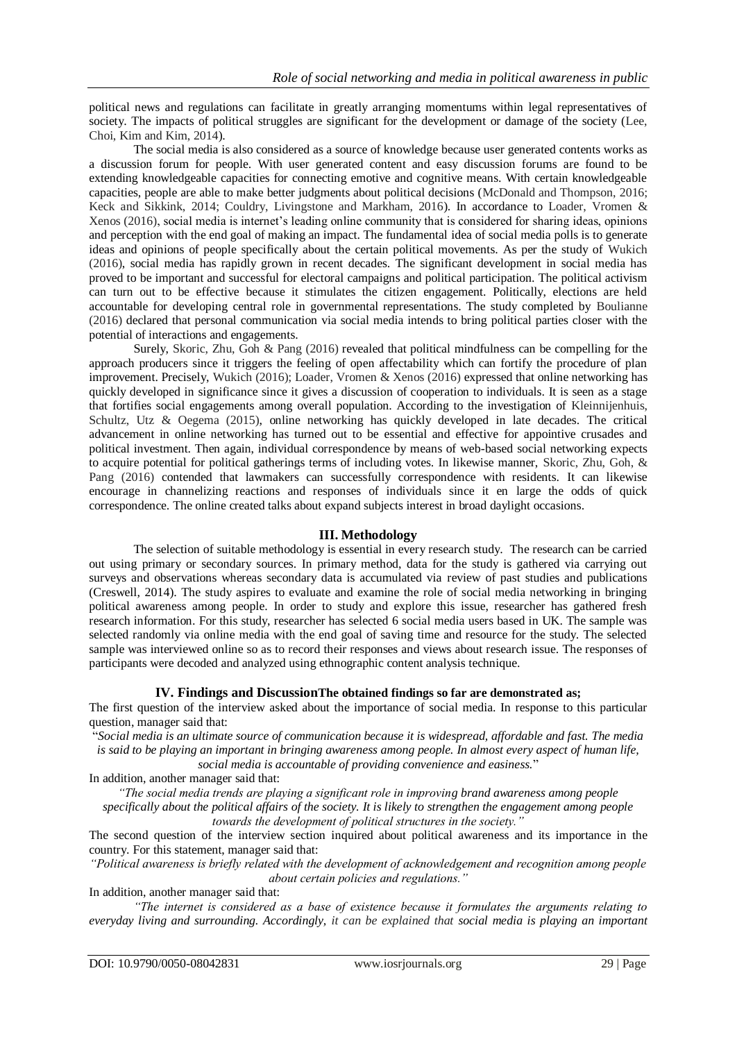political news and regulations can facilitate in greatly arranging momentums within legal representatives of society. The impacts of political struggles are significant for the development or damage of the society (Lee, Choi, Kim and Kim, 2014).

The social media is also considered as a source of knowledge because user generated contents works as a discussion forum for people. With user generated content and easy discussion forums are found to be extending knowledgeable capacities for connecting emotive and cognitive means. With certain knowledgeable capacities, people are able to make better judgments about political decisions (McDonald and Thompson, 2016; Keck and Sikkink, 2014; Couldry, Livingstone and Markham, 2016). In accordance to Loader, Vromen & Xenos (2016), social media is internet's leading online community that is considered for sharing ideas, opinions and perception with the end goal of making an impact. The fundamental idea of social media polls is to generate ideas and opinions of people specifically about the certain political movements. As per the study of Wukich (2016), social media has rapidly grown in recent decades. The significant development in social media has proved to be important and successful for electoral campaigns and political participation. The political activism can turn out to be effective because it stimulates the citizen engagement. Politically, elections are held accountable for developing central role in governmental representations. The study completed by Boulianne (2016) declared that personal communication via social media intends to bring political parties closer with the potential of interactions and engagements.

Surely, Skoric, Zhu, Goh & Pang (2016) revealed that political mindfulness can be compelling for the approach producers since it triggers the feeling of open affectability which can fortify the procedure of plan improvement. Precisely, Wukich (2016); Loader, Vromen & Xenos (2016) expressed that online networking has quickly developed in significance since it gives a discussion of cooperation to individuals. It is seen as a stage that fortifies social engagements among overall population. According to the investigation of Kleinnijenhuis, Schultz, Utz & Oegema (2015), online networking has quickly developed in late decades. The critical advancement in online networking has turned out to be essential and effective for appointive crusades and political investment. Then again, individual correspondence by means of web-based social networking expects to acquire potential for political gatherings terms of including votes. In likewise manner, Skoric, Zhu, Goh, & Pang (2016) contended that lawmakers can successfully correspondence with residents. It can likewise encourage in channelizing reactions and responses of individuals since it en large the odds of quick correspondence. The online created talks about expand subjects interest in broad daylight occasions.

#### **III. Methodology**

The selection of suitable methodology is essential in every research study. The research can be carried out using primary or secondary sources. In primary method, data for the study is gathered via carrying out surveys and observations whereas secondary data is accumulated via review of past studies and publications (Creswell, 2014). The study aspires to evaluate and examine the role of social media networking in bringing political awareness among people. In order to study and explore this issue, researcher has gathered fresh research information. For this study, researcher has selected 6 social media users based in UK. The sample was selected randomly via online media with the end goal of saving time and resource for the study. The selected sample was interviewed online so as to record their responses and views about research issue. The responses of participants were decoded and analyzed using ethnographic content analysis technique.

### **IV. Findings and DiscussionThe obtained findings so far are demonstrated as;**

The first question of the interview asked about the importance of social media. In response to this particular question, manager said that:

"*Social media is an ultimate source of communication because it is widespread, affordable and fast. The media is said to be playing an important in bringing awareness among people. In almost every aspect of human life,* 

*social media is accountable of providing convenience and easiness.*"

In addition, another manager said that:

*"The social media trends are playing a significant role in improving brand awareness among people specifically about the political affairs of the society. It is likely to strengthen the engagement among people towards the development of political structures in the society."*

The second question of the interview section inquired about political awareness and its importance in the country. For this statement, manager said that:

*"Political awareness is briefly related with the development of acknowledgement and recognition among people about certain policies and regulations."*

In addition, another manager said that:

*"The internet is considered as a base of existence because it formulates the arguments relating to everyday living and surrounding. Accordingly, it can be explained that social media is playing an important*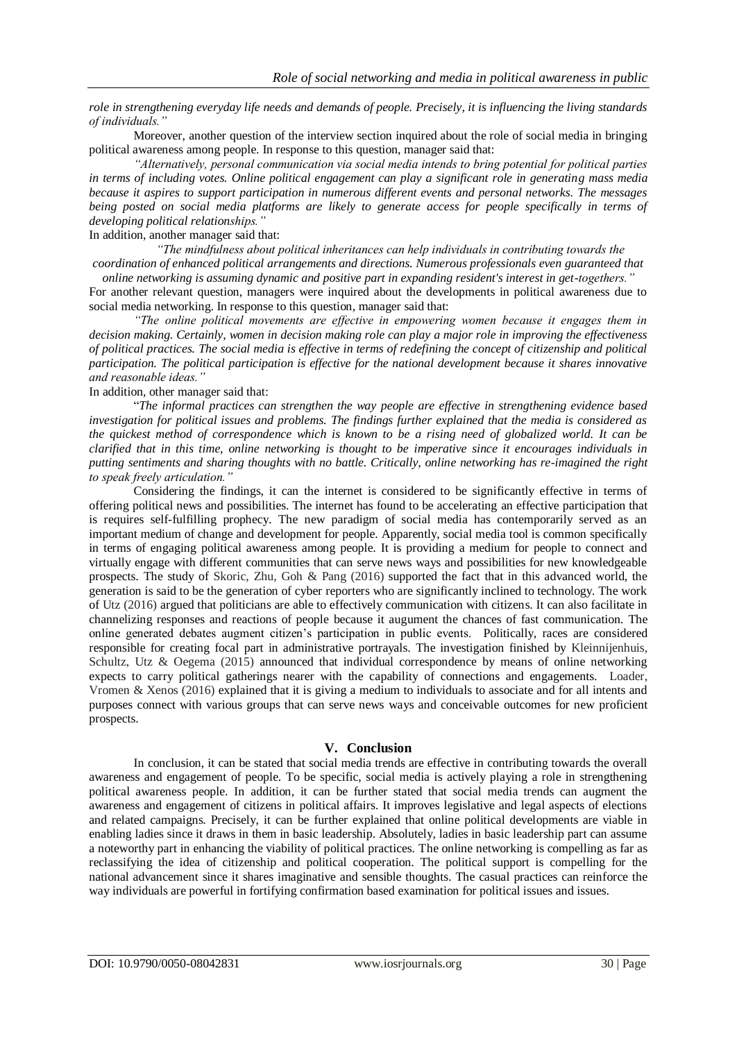*role in strengthening everyday life needs and demands of people. Precisely, it is influencing the living standards of individuals."*

Moreover, another question of the interview section inquired about the role of social media in bringing political awareness among people. In response to this question, manager said that:

*"Alternatively, personal communication via social media intends to bring potential for political parties in terms of including votes. Online political engagement can play a significant role in generating mass media because it aspires to support participation in numerous different events and personal networks. The messages being posted on social media platforms are likely to generate access for people specifically in terms of developing political relationships."*

In addition, another manager said that:

*"The mindfulness about political inheritances can help individuals in contributing towards the coordination of enhanced political arrangements and directions. Numerous professionals even guaranteed that* 

*online networking is assuming dynamic and positive part in expanding resident's interest in get-togethers."* For another relevant question, managers were inquired about the developments in political awareness due to social media networking. In response to this question, manager said that:

*"The online political movements are effective in empowering women because it engages them in decision making. Certainly, women in decision making role can play a major role in improving the effectiveness of political practices. The social media is effective in terms of redefining the concept of citizenship and political participation. The political participation is effective for the national development because it shares innovative and reasonable ideas."*

In addition, other manager said that:

"*The informal practices can strengthen the way people are effective in strengthening evidence based investigation for political issues and problems. The findings further explained that the media is considered as the quickest method of correspondence which is known to be a rising need of globalized world. It can be clarified that in this time, online networking is thought to be imperative since it encourages individuals in putting sentiments and sharing thoughts with no battle. Critically, online networking has re-imagined the right to speak freely articulation."*

Considering the findings, it can the internet is considered to be significantly effective in terms of offering political news and possibilities. The internet has found to be accelerating an effective participation that is requires self-fulfilling prophecy. The new paradigm of social media has contemporarily served as an important medium of change and development for people. Apparently, social media tool is common specifically in terms of engaging political awareness among people. It is providing a medium for people to connect and virtually engage with different communities that can serve news ways and possibilities for new knowledgeable prospects. The study of Skoric, Zhu, Goh & Pang (2016) supported the fact that in this advanced world, the generation is said to be the generation of cyber reporters who are significantly inclined to technology. The work of Utz (2016) argued that politicians are able to effectively communication with citizens. It can also facilitate in channelizing responses and reactions of people because it augument the chances of fast communication. The online generated debates augment citizen's participation in public events. Politically, races are considered responsible for creating focal part in administrative portrayals. The investigation finished by Kleinnijenhuis, Schultz, Utz & Oegema (2015) announced that individual correspondence by means of online networking expects to carry political gatherings nearer with the capability of connections and engagements. Loader, Vromen & Xenos (2016) explained that it is giving a medium to individuals to associate and for all intents and purposes connect with various groups that can serve news ways and conceivable outcomes for new proficient prospects.

#### **V. Conclusion**

In conclusion, it can be stated that social media trends are effective in contributing towards the overall awareness and engagement of people. To be specific, social media is actively playing a role in strengthening political awareness people. In addition, it can be further stated that social media trends can augment the awareness and engagement of citizens in political affairs. It improves legislative and legal aspects of elections and related campaigns. Precisely, it can be further explained that online political developments are viable in enabling ladies since it draws in them in basic leadership. Absolutely, ladies in basic leadership part can assume a noteworthy part in enhancing the viability of political practices. The online networking is compelling as far as reclassifying the idea of citizenship and political cooperation. The political support is compelling for the national advancement since it shares imaginative and sensible thoughts. The casual practices can reinforce the way individuals are powerful in fortifying confirmation based examination for political issues and issues.